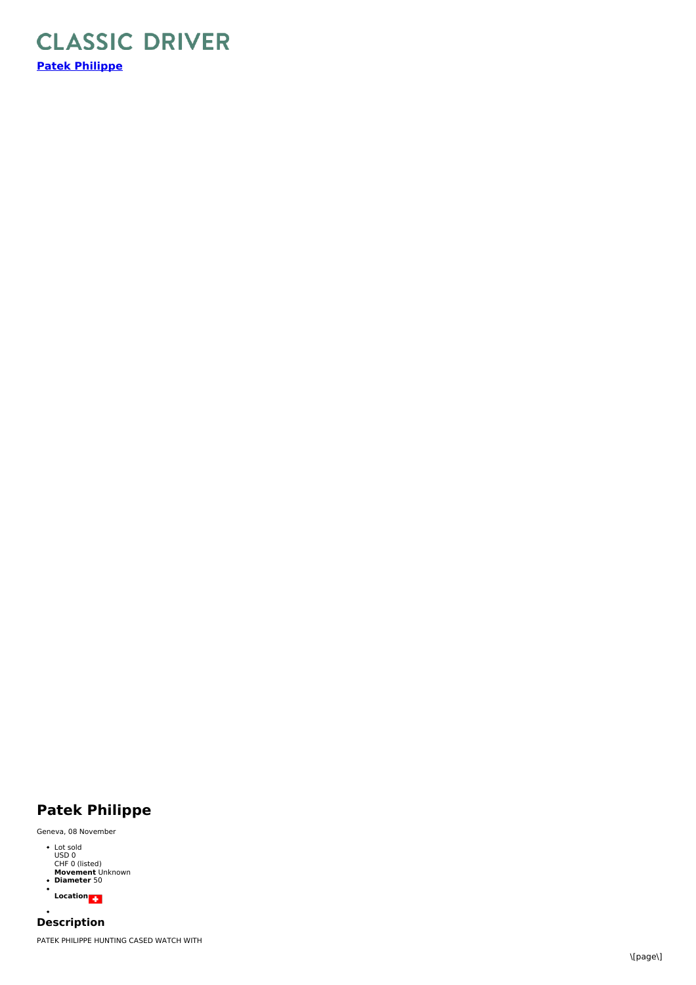

## **Patek Philippe**

Geneva, 08 November

- Lot sold USD 0 CHF 0 (listed) **Movement** Unknown **Diameter** 50  $\ddot{\phantom{0}}$
- **Location**

**Description** PATEK PHILIPPE HUNTING CASED WATCH WITH